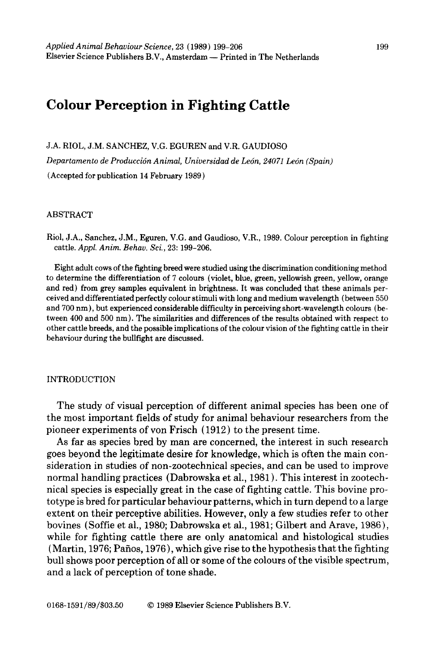# **Colour Perception in Fighting Cattle**

J.A. RIOL, J.M. SANCHEZ, V.G. EGUREN and V.R. GAUDIOSO Departamento de Producción Animal, Universidad de León, 24071 León (Spain) (Accepted for publication 14 February 1989)

#### ABSTRACT

Riol, J.A., Sanchez, J.M., Eguren, V.G, and Gaudioso, V.R., 1989. Colour perception in fighting cattle. *Appl. Anita. Behav. Sci.,* 23: 199-206.

Eight adult cows of the fighting breed were studied using the discrimination conditioning method to determine the differentiation of 7 colours (violet, blue, green, yellowish green, yellow, orange and red) from grey samples equivalent in brightness. It was concluded that these animals perceived and differentiated perfectly colour stimuli with long and medium wavelength (between 550 and 700 nm), but experienced considerable difficulty in perceiving short-wavelength colours (between 400 and 500 nm). The similarities and differences of the results obtained with respect to other cattle breeds, and the possible implications of the colour vision of the fighting cattle in their behaviour during the bullfight are discussed.

## INTRODUCTION

The study of visual perception of different animal species has been one of the most important fields of study for animal behaviour researchers from the pioneer experiments of yon Frisch (1912) to the present time.

As far as species bred by man are concerned, the interest in such research goes beyond the legitimate desire for knowledge, which is often the main consideration in studies of non-zootechnical species, and can be used to improve normal handling practices (Dabrowska et al., 1981 ). This interest in zootechnical species is especially great in the case of fighting cattle. This bovine prototype is bred for particular behaviour patterns, which in turn depend to a large extent on their perceptive abilities. However, only a few studies refer to other bovines (Softie et al., 1980; Dabrowska et al., 1981; Gilbert and Arave, 1986), while for fighting cattle there are only anatomical and histological studies  $(Martin, 1976; Paños, 1976)$ , which give rise to the hypothesis that the fighting bull shows poor perception of all or some of the colours of the visible spectrum, and a lack of perception of tone shade.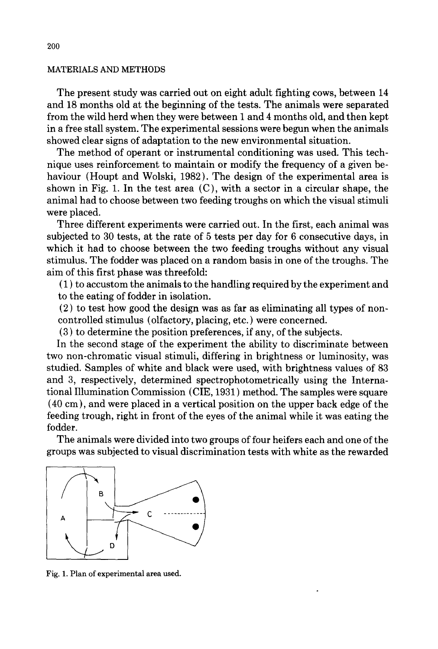## MATERIALS AND METHODS

The present study was carried out on eight adult fighting cows, between 14 and 18 months old at the beginning of the tests. The animals were separated from the wild herd when they were between 1 and 4 months old, and then kept in a free stall system. The experimental sessions were begun when the animals showed clear signs of adaptation to the new environmental situation.

The method of operant or instrumental conditioning was used. This technique uses reinforcement to maintain or modify the frequency of a given behaviour (Houpt and Wolski, 1982). The design of the experimental area is shown in Fig. 1. In the test area (C), with a sector in a circular shape, the animal had to choose between two feeding troughs on which the visual stimuli were placed.

Three different experiments were carried out. In the first, each animal was subjected to 30 tests, at the rate of 5 tests per day for 6 consecutive days, in which it had to choose between the two feeding troughs without any visual stimulus. The fodder was placed on a random basis in one of the troughs. The aim of this first phase was threefold:

(1) to accustom the animals to the handling required by the experiment and to the eating of fodder in isolation.

(2) to test how good the design was as far as eliminating all types of noncontrolled stimulus (olfactory, placing, etc. ) were concerned.

(3) to determine the position preferences, if any, of the subjects.

In the second stage of the experiment the ability to discriminate between two non-chromatic visual stimuli, differing in brightness or luminosity, was studied. Samples of white and black were used, with brightness values of 83 and 3, respectively, determined spectrophotometrically using the International Illumination Commission (CIE, 1931 ) method. The samples were square (40 cm), and were placed in a vertical position on the upper back edge of the feeding trough, right in front of the eyes of the animal while it was eating the fodder.

The animals were divided into two groups of four heifers each and one of the groups was subjected to visual discrimination tests with white as the rewarded



Fig. 1. Plan of experimental area used.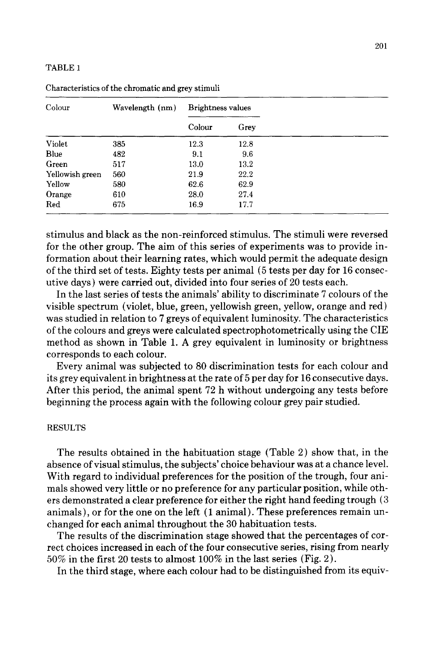## TABLE 1

| Colour          | Wavelength (nm) | <b>Brightness values</b> |      |  |
|-----------------|-----------------|--------------------------|------|--|
|                 |                 | Colour                   | Grey |  |
| Violet          | 385             | 12.3                     | 12.8 |  |
| Blue            | 482             | 9.1                      | 9.6  |  |
| Green           | 517             | 13.0                     | 13.2 |  |
| Yellowish green | 560             | 21.9                     | 22.2 |  |
| Yellow          | 580             | 62.6                     | 62.9 |  |
| Orange          | 610             | 28.0                     | 27.4 |  |
| Red             | 675             | 16.9                     | 17.7 |  |

Characteristics of the chromatic and grey stimuli

stimulus and black as the non-reinforced stimulus. The stimuli were reversed for the other group. The aim of this series of experiments was to provide information about their learning rates, which would permit the adequate design of the third set of tests. Eighty tests per animal (5 tests per day for 16 consecutive days) were carried out, divided into four series of 20 tests each.

In the last series of tests the animals' ability to discriminate 7 colours of the visible spectrum (violet, blue, green, yellowish green, yellow, orange and red) was studied in relation to 7 greys of equivalent luminosity. The characteristics of the colours and greys were calculated spectrophotometrically using the CIE method as shown in Table 1. A grey equivalent in luminosity or brightness corresponds to each colour.

Every animal was subjected to 80 discrimination tests for each colour and its grey equivalent in brightness at the rate of 5 per day for 16 consecutive days. After this period, the animal spent 72 h without undergoing any tests before beginning the process again with the following colour grey pair studied.

#### RESULTS

The results obtained in the habituation stage (Table 2) show that, in the absence of visual stimulus, the subjects' choice behaviour was at a chance level. With regard to individual preferences for the position of the trough, four animals showed very little or no preference for any particular position, while others demonstrated a clear preference for either the right hand feeding trough (3 animals), or for the one on the left ( 1 animal). These preferences remain unchanged for each animal throughout the 30 habituation tests.

The results of the discrimination stage showed that the percentages of correct choices increased in each of the four consecutive series, rising from nearly  $50\%$  in the first 20 tests to almost  $100\%$  in the last series (Fig. 2).

In the third stage, where each colour had to be distinguished from its equiv-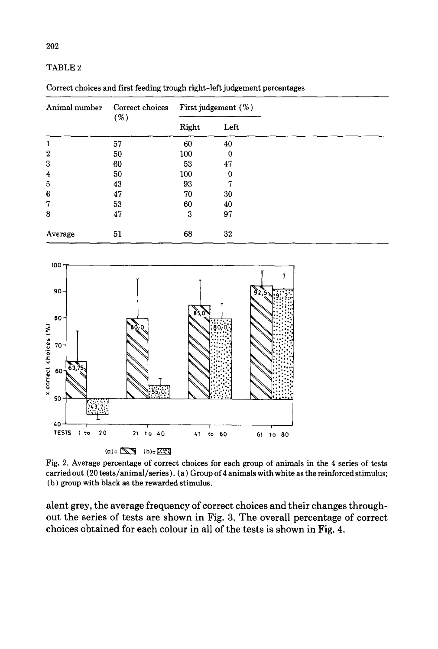## TABLE 2

Correct choices and first feeding trough right-left judgement percentages

| Animal number    | Correct choices<br>( %) | First judgement $(\%)$ |      |  |
|------------------|-------------------------|------------------------|------|--|
|                  |                         | Right                  | Left |  |
| 1                | 57                      | 60                     | 40   |  |
| $\boldsymbol{2}$ | 50                      | 100                    | 0    |  |
| 3                | 60                      | 53                     | 47   |  |
| $\overline{4}$   | 50                      | 100                    | 0    |  |
| 5                | 43                      | 93                     | 7    |  |
| 6                | 47                      | 70                     | 30   |  |
| 7                | 53                      | 60                     | 40   |  |
| 8                | 47                      | 3                      | 97   |  |
| Average          | 51                      | 68                     | 32   |  |



Fig. 2. Average percentage of correct choices for each group of animals in the 4 series of tests carried out (20 tests/animal/series). (a) Group of 4 animals with white as the reinforced stimulus; (b) group with black as the rewarded stimulus.

**alent grey, the average frequency of correct choices and their changes throughout the series of tests are shown in Fig. 3. The overall percentage of correct choices obtained for each colour in all of the tests is shown in Fig. 4.**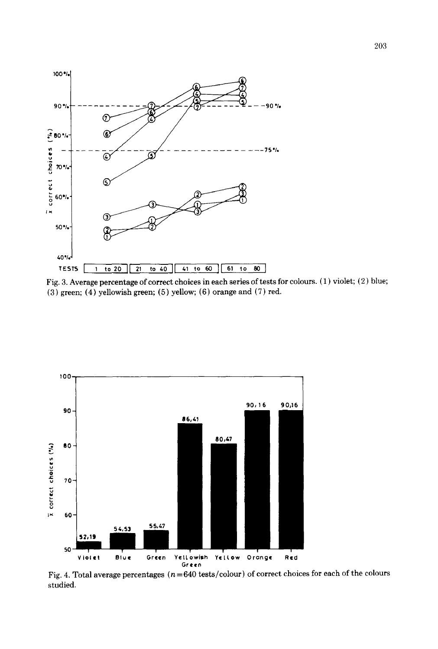





Fig. 4. Total average percentages ( $n = 640$  tests/colour) of correct choices for each of the colours studied.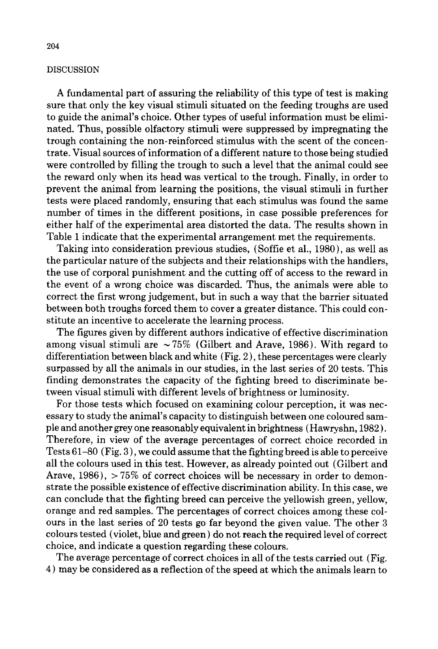# **DISCUSSION**

A fundamental part of assuring the reliability of this type of test is making sure that only the key visual stimuli situated on the feeding troughs are used to guide the animal's choice. Other types of useful information must be eliminated. Thus, possible olfactory stimuli were suppressed by impregnating the trough containing the non-reinforced stimulus with the scent of the concentrate. Visual sources of information of a different nature to those being studied were controlled by filling the trough to such a level that the animal could see the reward only when its head was vertical to the trough. Finally, in order to prevent the animal from learning the positions, the visual stimuli in further tests were placed randomly, ensuring that each stimulus was found the same number of times in the different positions, in case possible preferences for either half of the experimental area distorted the data. The results shown in Table 1 indicate that the experimental arrangement met the requirements.

Taking into consideration previous studies, (Soffie et al., 1980), as well as the particular nature of the subjects and their relationships with the handlers, the use of corporal punishment and the cutting off of access to the reward in the event of a wrong choice was discarded. Thus, the animals were able to correct the first wrong judgement, but in such a way that the barrier situated between both troughs forced them to cover a greater distance. This could constitute an incentive to accelerate the learning process.

The figures given by different authors indicative of effective discrimination among visual stimuli are  $\sim 75\%$  (Gilbert and Arave, 1986). With regard to differentiation between black and white (Fig. 2 ), these percentages were clearly surpassed by all the animals in our studies, in the last series of 20 tests. This finding demonstrates the capacity of the fighting breed to discriminate between visual stimuli with different levels of brightness or luminosity.

For those tests which focused on examining colour perception, it was necessary to study the animal's capacity to distinguish between one coloured sample and another grey one reasonably equivalent in brightness (Hawryshn, 1982 ). Therefore, in view of the average percentages of correct choice recorded in Tests 61-80 (Fig. 3 ), we could assume that the fighting breed is able to perceive all the colours used in this test. However, as already pointed out (Gilbert and Arave,  $1986$ ),  $> 75\%$  of correct choices will be necessary in order to demonstrate the possible existence of effective discrimination ability. In this case, we can conclude that the fighting breed can perceive the yellowish green, yellow, orange and red samples. The percentages of correct choices among these colours in the last series of 20 tests go far beyond the given value. The other 3 colours tested (violet, blue and green) do not reach the required level of correct choice, and indicate a question regarding these colours.

The average percentage of correct choices in all of the tests carried out (Fig. 4) may be considered as a reflection of the speed at which the animals learn to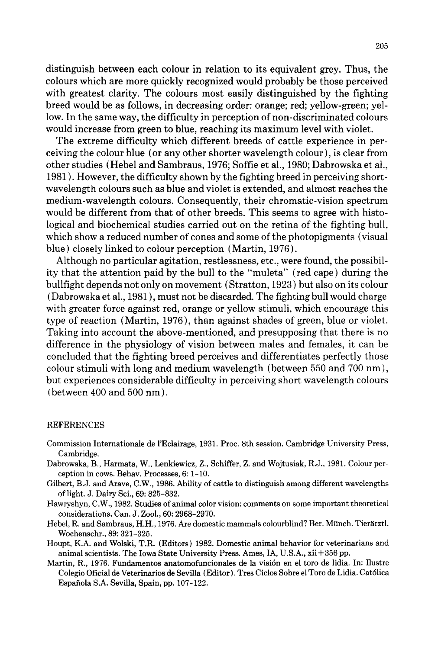distinguish between each colour in relation to its equivalent grey. Thus, the colours which are more quickly recognized would probably be those perceived with greatest clarity. The colours most easily distinguished by the fighting breed would be as follows, in decreasing order: orange; red; yellow-green; yellow. In the same way, the difficulty in perception of non-discriminated colours would increase from green to blue, reaching its maximum level with violet.

The extreme difficulty which different breeds of cattle experience in perceiving the colour blue (or any other shorter wavelength colour), is clear from other studies (Hebel and Sambraus, 1976; Softie et al., 1980; Dabrowska et al., 1981 ). However, the difficulty shown by the fighting breed in perceiving shortwavelength colours such as blue and violet is extended, and almost reaches the medium-wavelength colours. Consequently, their chromatic-vision spectrum would be different from that of other breeds. This seems to agree with histological and biochemical studies carried out on the retina of the fighting bull, which show a reduced number of cones and some of the photopigments (visual blue) closely linked to colour perception (Martin, 1976).

Although no particular agitation, restlessness, etc., were found, the possibility that the attention paid by the bull to the "muleta" (red cape) during the bullfight depends not only on movement (Stratton, 1923 ) but also on its colour (Dabrowska et al., 1981 ), must not be discarded. The fighting bull would charge with greater force against red, orange or yellow stimuli, which encourage this type of reaction (Martin, 1976), than against shades of green, blue or violet. Taking into account the above-mentioned, and presupposing that there is no difference in the physiology of vision between males and females, it can be concluded that the fighting breed perceives and differentiates perfectly those colour stimuli with long and medium wavelength (between 550 and 700 nm), but experiences considerable difficulty in perceiving short wavelength colours (between 400 and 500 nm).

#### REFERENCES

- Commission Internationale de l'Eclairage, 1931. Proc. 8th session. Cambridge University Press, Cambridge.
- Dabrowska, B., Harmata, W., Lenkiewicz, Z., Schiffer, Z. and Wojtusiak, R.J., 1981. Colour perception in cows. Behav. Processes, 6: 1-10.
- Gilbert, B.J. and Arave, C.W., 1986. Ability of cattle to distinguish among different wavelengths of light. J. Dairy Sci., 69: 825-832.
- Hawryshyn, C.W., 1982. Studies of animal color vision: comments on some important theoretical considerations. Can. J. Zool., 60: 2968-2970.
- Hebel, R. and Sambraus, H.H., 1976. Are domestic mammals colourblind? Ber. Münch. Tierärztl. Wochenschr., 89: 321-325.
- Houpt, K.A. and Wolski, T.R. (Editors) 1982. Domestic animal behavior for veterinarians and animal scientists. The Iowa State University Press. Ames, IA, U.S.A., xii + 356 pp.
- Martin, R., 1976. Fundamentos anatomofuncionales de la visión en el toro de lidia. In: Ilustre Colegio Oficial de Veterinarios de Sevilla (Editor). Tres Ciclos Sobre el Toro de Lidia. Católica Espafiola S.A. Sevilla, Spain, pp. 107-122.